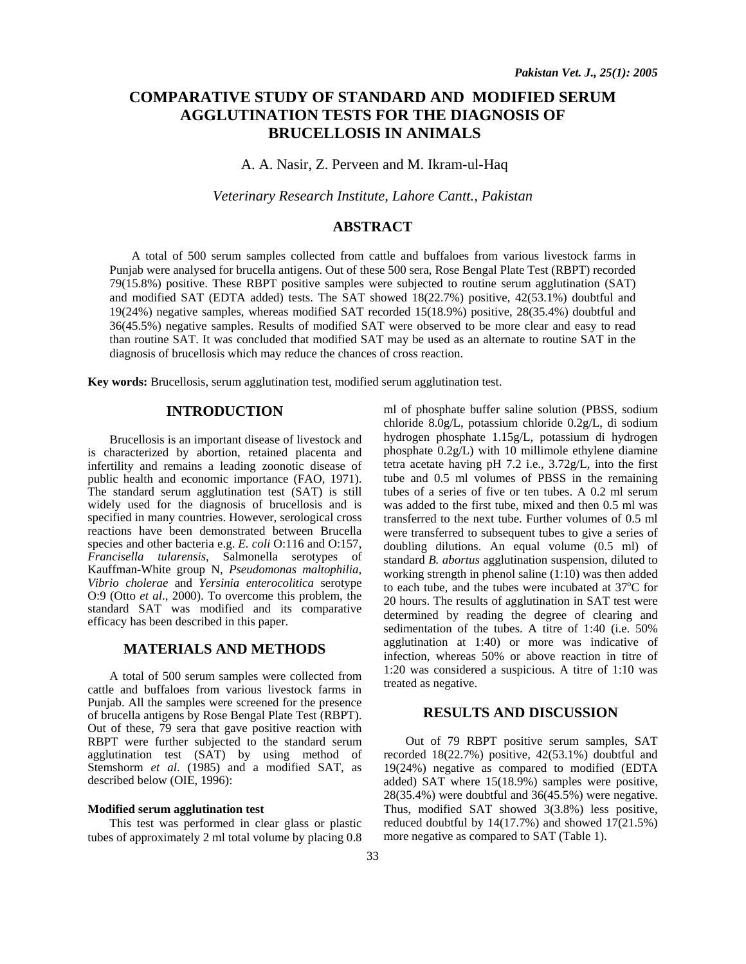# **COMPARATIVE STUDY OF STANDARD AND MODIFIED SERUM AGGLUTINATION TESTS FOR THE DIAGNOSIS OF BRUCELLOSIS IN ANIMALS**

A. A. Nasir, Z. Perveen and M. Ikram-ul-Haq

*Veterinary Research Institute, Lahore Cantt., Pakistan* 

## **ABSTRACT**

A total of 500 serum samples collected from cattle and buffaloes from various livestock farms in Punjab were analysed for brucella antigens. Out of these 500 sera, Rose Bengal Plate Test (RBPT) recorded 79(15.8%) positive. These RBPT positive samples were subjected to routine serum agglutination (SAT) and modified SAT (EDTA added) tests. The SAT showed 18(22.7%) positive, 42(53.1%) doubtful and 19(24%) negative samples, whereas modified SAT recorded 15(18.9%) positive, 28(35.4%) doubtful and 36(45.5%) negative samples. Results of modified SAT were observed to be more clear and easy to read than routine SAT. It was concluded that modified SAT may be used as an alternate to routine SAT in the diagnosis of brucellosis which may reduce the chances of cross reaction.

**Key words:** Brucellosis, serum agglutination test, modified serum agglutination test.

#### **INTRODUCTION**

 Brucellosis is an important disease of livestock and is characterized by abortion, retained placenta and infertility and remains a leading zoonotic disease of public health and economic importance (FAO, 1971). The standard serum agglutination test (SAT) is still widely used for the diagnosis of brucellosis and is specified in many countries. However, serological cross reactions have been demonstrated between Brucella species and other bacteria e.g. *E. coli* O:116 and O:157, *Francisella tularensis*, Salmonella serotypes of Kauffman-White group N, *Pseudomonas maltophilia*, *Vibrio cholerae* and *Yersinia enterocolitica* serotype O:9 (Otto *et al*., 2000). To overcome this problem, the standard SAT was modified and its comparative efficacy has been described in this paper.

#### **MATERIALS AND METHODS**

 A total of 500 serum samples were collected from cattle and buffaloes from various livestock farms in Punjab. All the samples were screened for the presence of brucella antigens by Rose Bengal Plate Test (RBPT). Out of these, 79 sera that gave positive reaction with RBPT were further subjected to the standard serum agglutination test (SAT) by using method of Stemshorm *et al*. (1985) and a modified SAT, as described below (OIE, 1996):

#### **Modified serum agglutination test**

 This test was performed in clear glass or plastic tubes of approximately 2 ml total volume by placing 0.8 ml of phosphate buffer saline solution (PBSS, sodium chloride 8.0g/L, potassium chloride 0.2g/L, di sodium hydrogen phosphate 1.15g/L, potassium di hydrogen phosphate 0.2g/L) with 10 millimole ethylene diamine tetra acetate having pH 7.2 i.e., 3.72g/L, into the first tube and 0.5 ml volumes of PBSS in the remaining tubes of a series of five or ten tubes. A 0.2 ml serum was added to the first tube, mixed and then 0.5 ml was transferred to the next tube. Further volumes of 0.5 ml were transferred to subsequent tubes to give a series of doubling dilutions. An equal volume (0.5 ml) of standard *B. abortus* agglutination suspension, diluted to working strength in phenol saline (1:10) was then added to each tube, and the tubes were incubated at  $37^{\circ}$ C for 20 hours. The results of agglutination in SAT test were determined by reading the degree of clearing and sedimentation of the tubes. A titre of 1:40 (i.e. 50% agglutination at 1:40) or more was indicative of infection, whereas 50% or above reaction in titre of 1:20 was considered a suspicious. A titre of 1:10 was treated as negative.

### **RESULTS AND DISCUSSION**

 Out of 79 RBPT positive serum samples, SAT recorded 18(22.7%) positive, 42(53.1%) doubtful and 19(24%) negative as compared to modified (EDTA added) SAT where 15(18.9%) samples were positive, 28(35.4%) were doubtful and 36(45.5%) were negative. Thus, modified SAT showed 3(3.8%) less positive, reduced doubtful by 14(17.7%) and showed 17(21.5%) more negative as compared to SAT (Table 1).